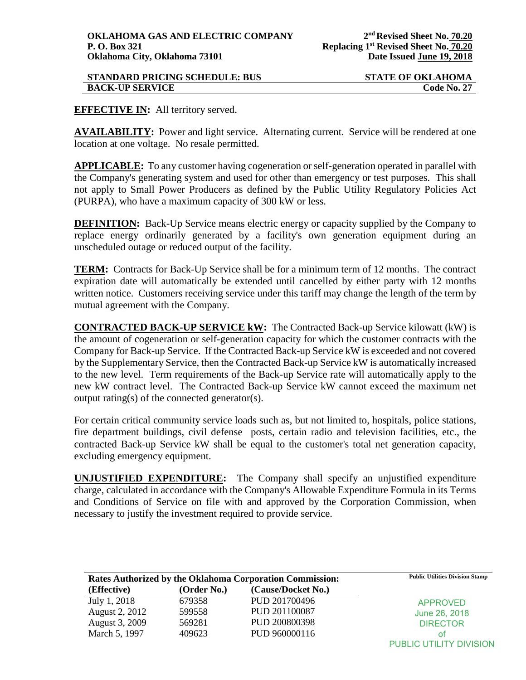# **STANDARD PRICING SCHEDULE: BUS STATE OF OKLAHOMA BACK-UP SERVICE Code No. 27**

# **EFFECTIVE IN:** All territory served.

**AVAILABILITY:** Power and light service. Alternating current. Service will be rendered at one location at one voltage. No resale permitted.

**APPLICABLE:** To any customer having cogeneration or self-generation operated in parallel with the Company's generating system and used for other than emergency or test purposes. This shall not apply to Small Power Producers as defined by the Public Utility Regulatory Policies Act (PURPA), who have a maximum capacity of 300 kW or less.

**DEFINITION:** Back-Up Service means electric energy or capacity supplied by the Company to replace energy ordinarily generated by a facility's own generation equipment during an unscheduled outage or reduced output of the facility.

**TERM:** Contracts for Back-Up Service shall be for a minimum term of 12 months. The contract expiration date will automatically be extended until cancelled by either party with 12 months written notice. Customers receiving service under this tariff may change the length of the term by mutual agreement with the Company.

**CONTRACTED BACK-UP SERVICE kW:** The Contracted Back-up Service kilowatt (kW) is the amount of cogeneration or self-generation capacity for which the customer contracts with the Company for Back-up Service. If the Contracted Back-up Service kW is exceeded and not covered by the Supplementary Service, then the Contracted Back-up Service kW is automatically increased to the new level. Term requirements of the Back-up Service rate will automatically apply to the new kW contract level. The Contracted Back-up Service kW cannot exceed the maximum net output rating(s) of the connected generator(s).

For certain critical community service loads such as, but not limited to, hospitals, police stations, fire department buildings, civil defense posts, certain radio and television facilities, etc., the contracted Back-up Service kW shall be equal to the customer's total net generation capacity, excluding emergency equipment.

**UNJUSTIFIED EXPENDITURE:** The Company shall specify an unjustified expenditure charge, calculated in accordance with the Company's Allowable Expenditure Formula in its Terms and Conditions of Service on file with and approved by the Corporation Commission, when necessary to justify the investment required to provide service.

| Rates Authorized by the Oklahoma Corporation Commission: |             |                    | <b>Public Utilities Division Stamp</b> |
|----------------------------------------------------------|-------------|--------------------|----------------------------------------|
| (Effective)                                              | (Order No.) | (Cause/Docket No.) |                                        |
| July 1, 2018                                             | 679358      | PUD 201700496      | <b>APPROVED</b>                        |
| August 2, 2012                                           | 599558      | PUD 201100087      | June 26, 2018                          |
| August 3, 2009                                           | 569281      | PUD 200800398      | <b>DIRECTOR</b>                        |
| March 5, 1997                                            | 409623      | PUD 960000116      | ΩŤ                                     |
|                                                          |             |                    | PUBLIC UTILITY DIVISION                |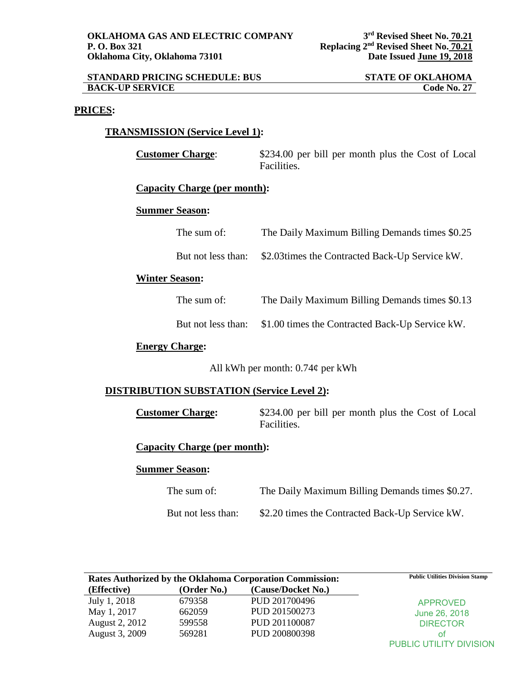| <b>STANDARD PRICING SCHEDULE: BUS</b> | <b>STATE OF OKLAHOMA</b> |
|---------------------------------------|--------------------------|
| <b>BACK-UP SERVICE</b>                | <b>Code No. 27</b>       |

### **PRICES:**

## **TRANSMISSION (Service Level 1):**

**Customer Charge:**  $$234.00$  per bill per month plus the Cost of Local Facilities.

#### **Capacity Charge (per month):**

## **Summer Season:**

| The sum of:        | The Daily Maximum Billing Demands times \$0.25  |
|--------------------|-------------------------------------------------|
| But not less than: | \$2.03 times the Contracted Back-Up Service kW. |
| Season•            |                                                 |

# **Winter Season:**

| The sum of:        | The Daily Maximum Billing Demands times \$0.13  |
|--------------------|-------------------------------------------------|
| But not less than: | \$1.00 times the Contracted Back-Up Service kW. |

# **Energy Charge:**

All kWh per month: 0.74¢ per kWh

## **DISTRIBUTION SUBSTATION (Service Level 2):**

**Customer Charge:** \$234.00 per bill per month plus the Cost of Local Facilities.

**Capacity Charge (per month):**

## **Summer Season:**

| The sum of:        | The Daily Maximum Billing Demands times \$0.27. |
|--------------------|-------------------------------------------------|
| But not less than: | \$2.20 times the Contracted Back-Up Service kW. |

| Rates Authorized by the Oklahoma Corporation Commission: |             | <b>Public Utilities Division Stamp</b> |                                |
|----------------------------------------------------------|-------------|----------------------------------------|--------------------------------|
| (Effective)                                              | (Order No.) | (Cause/Docket No.)                     |                                |
| July 1, 2018                                             | 679358      | PUD 201700496                          | <b>APPROVED</b>                |
| May 1, 2017                                              | 662059      | PUD 201500273                          | June 26, 2018                  |
| August 2, 2012                                           | 599558      | PUD 201100087                          | <b>DIRECTOR</b>                |
| August 3, 2009                                           | 569281      | PUD 200800398                          | οt                             |
|                                                          |             |                                        | <b>PUBLIC UTILITY DIVISION</b> |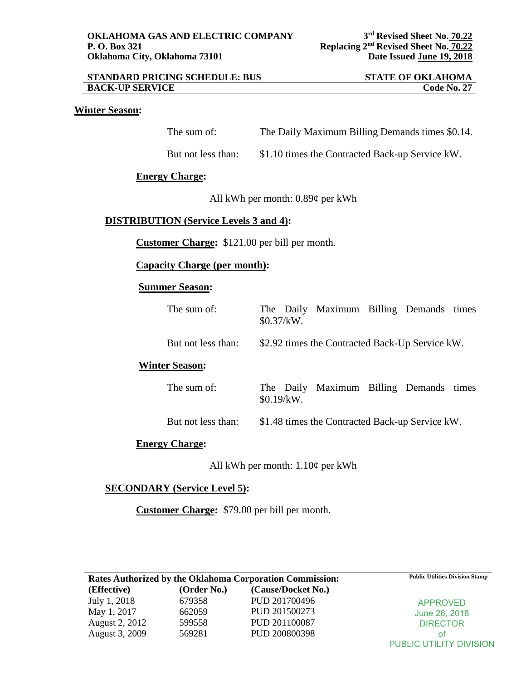| <b>STANDARD PRICING SCHEDULE: BUS</b> | <b>STATE OF OKLAHOMA</b> |
|---------------------------------------|--------------------------|
| <b>BACK-UP SERVICE</b>                | <b>Code No. 27</b>       |

# **Winter Season:**

| The sum of: | The Daily Maximum Billing Demands times \$0.14. |
|-------------|-------------------------------------------------|
|-------------|-------------------------------------------------|

But not less than: \$1.10 times the Contracted Back-up Service kW.

# **Energy Charge:**

All kWh per month: 0.89¢ per kWh

# **DISTRIBUTION (Service Levels 3 and 4):**

**Customer Charge:** \$121.00 per bill per month.

**Capacity Charge (per month):**

# **Summer Season:**

| The sum of:           | The Daily Maximum Billing Demands times<br>\$0.37/kW. |
|-----------------------|-------------------------------------------------------|
| But not less than:    | \$2.92 times the Contracted Back-Up Service kW.       |
| <b>Winter Season:</b> |                                                       |
| The sum of:           | The Daily Maximum Billing Demands times<br>\$0.19/kW. |
| But not less than:    | \$1.48 times the Contracted Back-up Service kW.       |
| <b>Energy Charge:</b> |                                                       |

All kWh per month: 1.10¢ per kWh

# **SECONDARY (Service Level 5):**

**Customer Charge:** \$79.00 per bill per month.

| <b>Rates Authorized by the Oklahoma Corporation Commission:</b> |             |                    | <b>Public Utilities Division Stamp</b> |
|-----------------------------------------------------------------|-------------|--------------------|----------------------------------------|
| (Effective)                                                     | (Order No.) | (Cause/Docket No.) |                                        |
| July 1, 2018                                                    | 679358      | PUD 201700496      | APPROVED                               |
| May 1, 2017                                                     | 662059      | PUD 201500273      | June 26, 2018                          |
| August 2, 2012                                                  | 599558      | PUD 201100087      | <b>DIRECTOR</b>                        |
| August 3, 2009                                                  | 569281      | PUD 200800398      | Οt                                     |
|                                                                 |             |                    | <b>PUBLIC UTILITY DIVISION</b>         |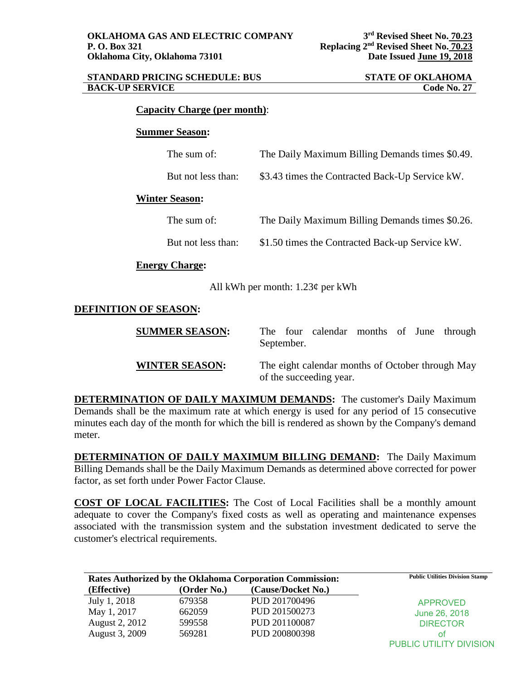| <b>STANDARD PRICING SCHEDULE: BUS</b> | <b>STATE OF OKLAHOMA</b> |
|---------------------------------------|--------------------------|
| <b>BACK-UP SERVICE</b>                | <b>Code No. 27</b>       |

### **Capacity Charge (per month)**:

#### **Summer Season:**

| The sum of:           | The Daily Maximum Billing Demands times \$0.49. |
|-----------------------|-------------------------------------------------|
| But not less than:    | \$3.43 times the Contracted Back-Up Service kW. |
| <b>Winter Season:</b> |                                                 |
| The sum of:           | The Daily Maximum Billing Demands times \$0.26. |
| But not less than:    | \$1.50 times the Contracted Back-up Service kW. |
| <b>Energy Charge:</b> |                                                 |

All kWh per month: 1.23¢ per kWh

# **DEFINITION OF SEASON:**

| <b>SUMMER SEASON:</b> | September. | The four calendar months of June through                                    |  |  |
|-----------------------|------------|-----------------------------------------------------------------------------|--|--|
| <b>WINTER SEASON:</b> |            | The eight calendar months of October through May<br>of the succeeding year. |  |  |

**DETERMINATION OF DAILY MAXIMUM DEMANDS:** The customer's Daily Maximum Demands shall be the maximum rate at which energy is used for any period of 15 consecutive minutes each day of the month for which the bill is rendered as shown by the Company's demand meter.

**DETERMINATION OF DAILY MAXIMUM BILLING DEMAND:** The Daily Maximum Billing Demands shall be the Daily Maximum Demands as determined above corrected for power factor, as set forth under Power Factor Clause.

**COST OF LOCAL FACILITIES:** The Cost of Local Facilities shall be a monthly amount adequate to cover the Company's fixed costs as well as operating and maintenance expenses associated with the transmission system and the substation investment dedicated to serve the customer's electrical requirements.

| Rates Authorized by the Oklahoma Corporation Commission: |             |                    | <b>Public Utilities Division Stamp</b> |
|----------------------------------------------------------|-------------|--------------------|----------------------------------------|
| (Effective)                                              | (Order No.) | (Cause/Docket No.) |                                        |
| July 1, 2018                                             | 679358      | PUD 201700496      | <b>APPROVED</b>                        |
| May 1, 2017                                              | 662059      | PUD 201500273      | June 26, 2018                          |
| August 2, 2012                                           | 599558      | PUD 201100087      | <b>DIRECTOR</b>                        |
| August 3, 2009                                           | 569281      | PUD 200800398      | Οt                                     |
|                                                          |             |                    | <b>PUBLIC UTILITY DIVISION</b>         |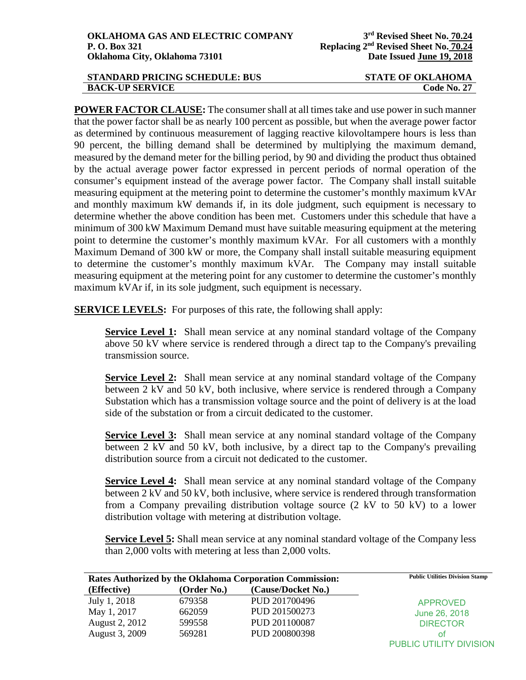| <b>STANDARD PRICING SCHEDULE: BUS</b> | <b>STATE OF OKLAHOMA</b> |
|---------------------------------------|--------------------------|
| <b>BACK-UP SERVICE</b>                | <b>Code No. 27</b>       |

**POWER FACTOR CLAUSE:** The consumer shall at all times take and use power in such manner that the power factor shall be as nearly 100 percent as possible, but when the average power factor as determined by continuous measurement of lagging reactive kilovoltampere hours is less than 90 percent, the billing demand shall be determined by multiplying the maximum demand, measured by the demand meter for the billing period, by 90 and dividing the product thus obtained by the actual average power factor expressed in percent periods of normal operation of the consumer's equipment instead of the average power factor. The Company shall install suitable measuring equipment at the metering point to determine the customer's monthly maximum kVAr and monthly maximum kW demands if, in its dole judgment, such equipment is necessary to determine whether the above condition has been met. Customers under this schedule that have a minimum of 300 kW Maximum Demand must have suitable measuring equipment at the metering point to determine the customer's monthly maximum kVAr. For all customers with a monthly Maximum Demand of 300 kW or more, the Company shall install suitable measuring equipment to determine the customer's monthly maximum kVAr. The Company may install suitable measuring equipment at the metering point for any customer to determine the customer's monthly maximum kVAr if, in its sole judgment, such equipment is necessary.

**SERVICE LEVELS:** For purposes of this rate, the following shall apply:

**Service Level 1:** Shall mean service at any nominal standard voltage of the Company above 50 kV where service is rendered through a direct tap to the Company's prevailing transmission source.

**Service Level 2:** Shall mean service at any nominal standard voltage of the Company between 2 kV and 50 kV, both inclusive, where service is rendered through a Company Substation which has a transmission voltage source and the point of delivery is at the load side of the substation or from a circuit dedicated to the customer.

**Service Level 3:** Shall mean service at any nominal standard voltage of the Company between 2 kV and 50 kV, both inclusive, by a direct tap to the Company's prevailing distribution source from a circuit not dedicated to the customer.

**Service Level 4:** Shall mean service at any nominal standard voltage of the Company between 2 kV and 50 kV, both inclusive, where service is rendered through transformation from a Company prevailing distribution voltage source (2 kV to 50 kV) to a lower distribution voltage with metering at distribution voltage.

**Service Level 5:** Shall mean service at any nominal standard voltage of the Company less than 2,000 volts with metering at less than 2,000 volts.

| Rates Authorized by the Oklahoma Corporation Commission: |             |                    | <b>Public Utilities Division Stamp</b> |
|----------------------------------------------------------|-------------|--------------------|----------------------------------------|
| (Effective)                                              | (Order No.) | (Cause/Docket No.) |                                        |
| July 1, 2018                                             | 679358      | PUD 201700496      | <b>APPROVED</b>                        |
| May 1, 2017                                              | 662059      | PUD 201500273      | June 26, 2018                          |
| August 2, 2012                                           | 599558      | PUD 201100087      | <b>DIRECTOR</b>                        |
| August 3, 2009                                           | 569281      | PUD 200800398      | ΩŤ                                     |
|                                                          |             |                    | PUBLIC UTILITY DIVISION                |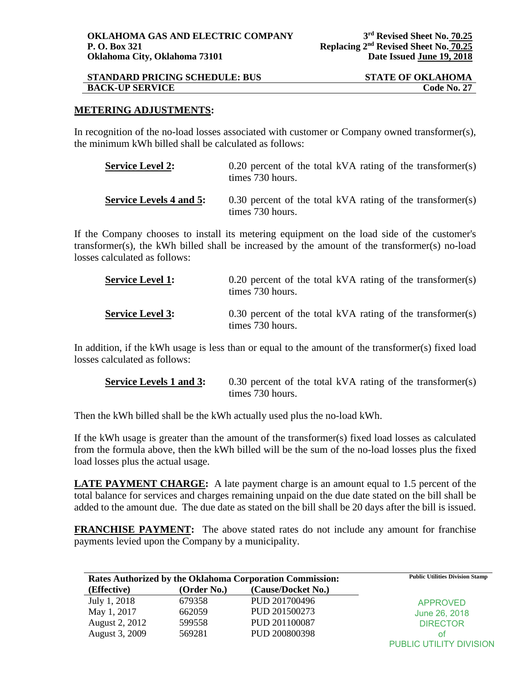| <b>STANDARD PRICING SCHEDULE: BUS</b> | <b>STATE OF OKLAHOMA</b> |
|---------------------------------------|--------------------------|
| <b>BACK-UP SERVICE</b>                | <b>Code No. 27</b>       |

## **METERING ADJUSTMENTS:**

In recognition of the no-load losses associated with customer or Company owned transformer(s), the minimum kWh billed shall be calculated as follows:

| <b>Service Level 2:</b>        | 0.20 percent of the total kVA rating of the transformer(s)<br>times 730 hours. |
|--------------------------------|--------------------------------------------------------------------------------|
| <b>Service Levels 4 and 5:</b> | 0.30 percent of the total kVA rating of the transformer(s)<br>times 730 hours. |

If the Company chooses to install its metering equipment on the load side of the customer's transformer(s), the kWh billed shall be increased by the amount of the transformer(s) no-load losses calculated as follows:

| <b>Service Level 1:</b> | $0.20$ percent of the total kVA rating of the transformer(s)<br>times 730 hours. |
|-------------------------|----------------------------------------------------------------------------------|
| <b>Service Level 3:</b> | $0.30$ percent of the total kVA rating of the transformer(s)<br>times 730 hours. |

In addition, if the kWh usage is less than or equal to the amount of the transformer(s) fixed load losses calculated as follows:

| <b>Service Levels 1 and 3:</b> | $0.30$ percent of the total kVA rating of the transformer(s) |
|--------------------------------|--------------------------------------------------------------|
|                                | times 730 hours.                                             |

Then the kWh billed shall be the kWh actually used plus the no-load kWh.

If the kWh usage is greater than the amount of the transformer(s) fixed load losses as calculated from the formula above, then the kWh billed will be the sum of the no-load losses plus the fixed load losses plus the actual usage.

**LATE PAYMENT CHARGE:** A late payment charge is an amount equal to 1.5 percent of the total balance for services and charges remaining unpaid on the due date stated on the bill shall be added to the amount due. The due date as stated on the bill shall be 20 days after the bill is issued.

**FRANCHISE PAYMENT:** The above stated rates do not include any amount for franchise payments levied upon the Company by a municipality.

| <b>Rates Authorized by the Oklahoma Corporation Commission:</b> |             |                    | <b>Public Utilities Division Stamp</b> |
|-----------------------------------------------------------------|-------------|--------------------|----------------------------------------|
| (Effective)                                                     | (Order No.) | (Cause/Docket No.) |                                        |
| July 1, 2018                                                    | 679358      | PUD 201700496      | <b>APPROVED</b>                        |
| May 1, 2017                                                     | 662059      | PUD 201500273      | June 26, 2018                          |
| August 2, 2012                                                  | 599558      | PUD 201100087      | <b>DIRECTOR</b>                        |
| August 3, 2009                                                  | 569281      | PUD 200800398      | оt                                     |
|                                                                 |             |                    | <b>PUBLIC UTILITY DIVISION</b>         |